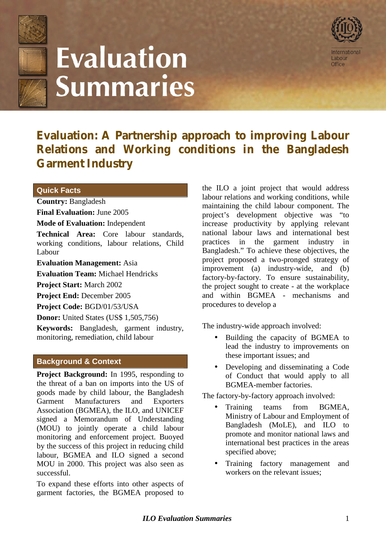

# **Evaluation Summaries**



**Evaluation: A Partnership approach to improving Labour Relations and Working conditions in the Bangladesh Garment Industry**

## **Quick Facts**

### **Country:** Bangladesh

**Final Evaluation:** June 2005

**Mode of Evaluation:** Independent

**Technical Area:** Core labour standards, working conditions, labour relations, Child Labour

**Evaluation Management:** Asia

**Evaluation Team:** Michael Hendricks

**Project Start:** March 2002

**Project End:** December 2005

**Project Code:** BGD/01/53/USA

**Donor:** United States (US\$ 1,505,756)

**Keywords:** Bangladesh, garment industry, monitoring, remediation, child labour

#### **Background & Context**

**Project Background:** In 1995, responding to the threat of a ban on imports into the US of goods made by child labour, the Bangladesh Garment Manufacturers and Exporters Association (BGMEA), the ILO, and UNICEF signed a Memorandum of Understanding (MOU) to jointly operate a child labour monitoring and enforcement project. Buoyed by the success of this project in reducing child labour, BGMEA and ILO signed a second MOU in 2000. This project was also seen as successful.

To expand these efforts into other aspects of garment factories, the BGMEA proposed to the ILO a joint project that would address labour relations and working conditions, while maintaining the child labour component. The project's development objective was "to increase productivity by applying relevant national labour laws and international best practices in the garment industry in Bangladesh." To achieve these objectives, the project proposed a two-pronged strategy of improvement (a) industry-wide, and (b) factory-by-factory. To ensure sustainability, the project sought to create - at the workplace and within BGMEA - mechanisms and procedures to develop a

The industry-wide approach involved:

- Building the capacity of BGMEA to lead the industry to improvements on these important issues; and
- Developing and disseminating a Code of Conduct that would apply to all BGMEA-member factories.

The factory-by-factory approach involved:

- Training teams from BGMEA, Ministry of Labour and Employment of Bangladesh (MoLE), and ILO to promote and monitor national laws and international best practices in the areas specified above;
- Training factory management and workers on the relevant issues;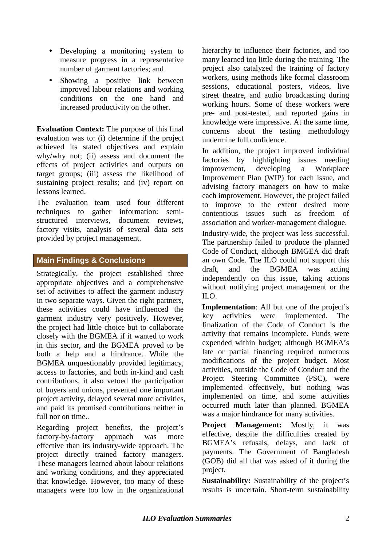- Developing a monitoring system to measure progress in a representative number of garment factories; and
- Showing a positive link between improved labour relations and working conditions on the one hand and increased productivity on the other.

**Evaluation Context:** The purpose of this final evaluation was to: (i) determine if the project achieved its stated objectives and explain why/why not; (ii) assess and document the effects of project activities and outputs on target groups; (iii) assess the likelihood of sustaining project results; and (iv) report on lessons learned.

The evaluation team used four different techniques to gather information: semistructured interviews, document reviews, factory visits, analysis of several data sets provided by project management.

## **Main Findings & Conclusions**

Strategically, the project established three appropriate objectives and a comprehensive set of activities to affect the garment industry in two separate ways. Given the right partners, these activities could have influenced the garment industry very positively. However, the project had little choice but to collaborate closely with the BGMEA if it wanted to work in this sector, and the BGMEA proved to be both a help and a hindrance. While the BGMEA unquestionably provided legitimacy, access to factories, and both in-kind and cash contributions, it also vetoed the participation of buyers and unions, prevented one important project activity, delayed several more activities, and paid its promised contributions neither in full nor on time...

Regarding project benefits, the project's factory-by-factory approach was more effective than its industry-wide approach. The project directly trained factory managers. These managers learned about labour relations and working conditions, and they appreciated that knowledge. However, too many of these managers were too low in the organizational hierarchy to influence their factories, and too many learned too little during the training. The project also catalyzed the training of factory workers, using methods like formal classroom sessions, educational posters, videos, live street theatre, and audio broadcasting during working hours. Some of these workers were pre- and post-tested, and reported gains in knowledge were impressive. At the same time, concerns about the testing methodology undermine full confidence.

In addition, the project improved individual factories by highlighting issues needing improvement, developing a Workplace Improvement Plan (WIP) for each issue, and advising factory managers on how to make each improvement. However, the project failed to improve to the extent desired more contentious issues such as freedom of association and worker-management dialogue.

Industry-wide, the project was less successful. The partnership failed to produce the planned Code of Conduct, although BMGEA did draft an own Code. The ILO could not support this draft, and the BGMEA was acting independently on this issue, taking actions without notifying project management or the ILO.

**Implementation**: All but one of the project's key activities were implemented. The finalization of the Code of Conduct is the activity that remains incomplete. Funds were expended within budget; although BGMEA's late or partial financing required numerous modifications of the project budget. Most activities, outside the Code of Conduct and the Project Steering Committee (PSC), were implemented effectively, but nothing was implemented on time, and some activities occurred much later than planned. BGMEA was a major hindrance for many activities.

**Project Management:** Mostly, it was effective, despite the difficulties created by BGMEA's refusals, delays, and lack of payments. The Government of Bangladesh (GOB) did all that was asked of it during the project.

**Sustainability:** Sustainability of the project's results is uncertain. Short-term sustainability